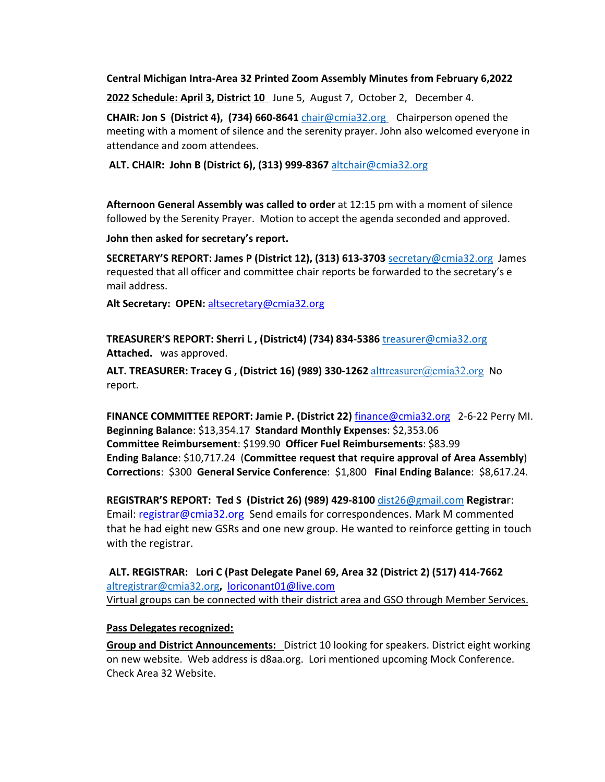#### **Central Michigan Intra-Area 32 Printed Zoom Assembly Minutes from February 6,2022**

**2022 Schedule: April 3, District 10** June 5, August 7, October 2, December 4.

**CHAIR: Jon S (District 4), (734) 660-8641** chair@cmia32.org Chairperson opened the meeting with a moment of silence and the serenity prayer. John also welcomed everyone in attendance and zoom attendees.

**ALT. CHAIR: John B (District 6), (313) 999-8367** altchair@cmia32.org

**Afternoon General Assembly was called to order** at 12:15 pm with a moment of silence followed by the Serenity Prayer. Motion to accept the agenda seconded and approved.

**John then asked for secretary's report.**

**SECRETARY'S REPORT: James P (District 12), (313) 613-3703** secretary@cmia32.org James requested that all officer and committee chair reports be forwarded to the secretary's e mail address.

**Alt Secretary: OPEN:** altsecretary@cmia32.org

**TREASURER'S REPORT: Sherri L , (District4) (734) 834-5386** treasurer@cmia32.org **Attached.** was approved.

**ALT. TREASURER: Tracey G , (District 16) (989) 330-1262** alttreasurer@cmia32.org No report.

**FINANCE COMMITTEE REPORT: Jamie P. (District 22)** finance@cmia32.org 2-6-22 Perry MI. **Beginning Balance**: \$13,354.17 **Standard Monthly Expenses**: \$2,353.06 **Committee Reimbursement**: \$199.90 **Officer Fuel Reimbursements**: \$83.99 **Ending Balance**: \$10,717.24 (**Committee request that require approval of Area Assembly**) **Corrections**: \$300 **General Service Conference**: \$1,800 **Final Ending Balance**: \$8,617.24.

**REGISTRAR'S REPORT: Ted S (District 26) (989) 429-8100** dist26@gmail.com **Registra**r: Email: registrar@cmia32.org Send emails for correspondences. Mark M commented that he had eight new GSRs and one new group. He wanted to reinforce getting in touch with the registrar.

**ALT. REGISTRAR: Lori C (Past Delegate Panel 69, Area 32 (District 2) (517) 414-7662**  altregistrar@cmia32.org**,** loriconant01@live.com Virtual groups can be connected with their district area and GSO through Member Services.

### **Pass Delegates recognized:**

**Group and District Announcements:** District 10 looking for speakers. District eight working on new website. Web address is d8aa.org. Lori mentioned upcoming Mock Conference. Check Area 32 Website.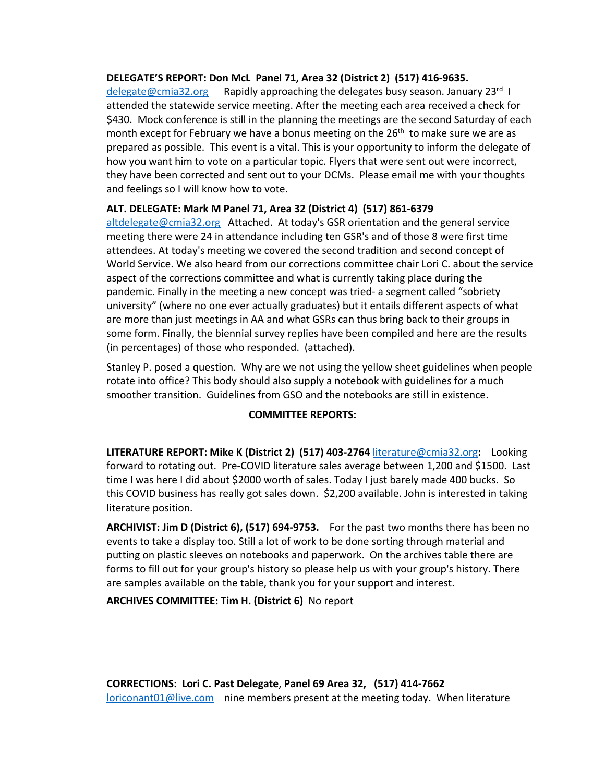#### **DELEGATE'S REPORT: Don McL Panel 71, Area 32 (District 2) (517) 416-9635.**

 $delegate@cmia32.org$  Rapidly approaching the delegates busy season. January 23<sup>rd</sup> I attended the statewide service meeting. After the meeting each area received a check for \$430. Mock conference is still in the planning the meetings are the second Saturday of each month except for February we have a bonus meeting on the 26<sup>th</sup> to make sure we are as prepared as possible. This event is a vital. This is your opportunity to inform the delegate of how you want him to vote on a particular topic. Flyers that were sent out were incorrect, they have been corrected and sent out to your DCMs. Please email me with your thoughts and feelings so I will know how to vote.

### **ALT. DELEGATE: Mark M Panel 71, Area 32 (District 4) (517) 861-6379**

altdelegate@cmia32.org Attached. At today's GSR orientation and the general service meeting there were 24 in attendance including ten GSR's and of those 8 were first time attendees. At today's meeting we covered the second tradition and second concept of World Service. We also heard from our corrections committee chair Lori C. about the service aspect of the corrections committee and what is currently taking place during the pandemic. Finally in the meeting a new concept was tried- a segment called "sobriety university" (where no one ever actually graduates) but it entails different aspects of what are more than just meetings in AA and what GSRs can thus bring back to their groups in some form. Finally, the biennial survey replies have been compiled and here are the results (in percentages) of those who responded. (attached).

Stanley P. posed a question. Why are we not using the yellow sheet guidelines when people rotate into office? This body should also supply a notebook with guidelines for a much smoother transition. Guidelines from GSO and the notebooks are still in existence.

### **COMMITTEE REPORTS:**

**LITERATURE REPORT: Mike K (District 2) (517) 403-2764** literature@cmia32.org**:** Looking forward to rotating out. Pre-COVID literature sales average between 1,200 and \$1500. Last time I was here I did about \$2000 worth of sales. Today I just barely made 400 bucks. So this COVID business has really got sales down. \$2,200 available. John is interested in taking literature position.

**ARCHIVIST: Jim D (District 6), (517) 694-9753.** For the past two months there has been no events to take a display too. Still a lot of work to be done sorting through material and putting on plastic sleeves on notebooks and paperwork. On the archives table there are forms to fill out for your group's history so please help us with your group's history. There are samples available on the table, thank you for your support and interest.

**ARCHIVES COMMITTEE: Tim H. (District 6)** No report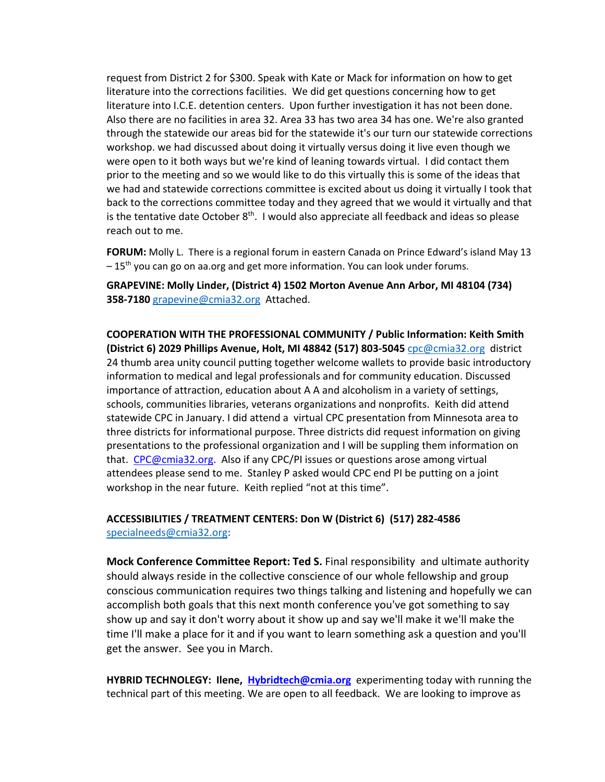request from District 2 for \$300. Speak with Kate or Mack for information on how to get literature into the corrections facilities. We did get questions concerning how to get literature into I.C.E. detention centers. Upon further investigation it has not been done. Also there are no facilities in area 32. Area 33 has two area 34 has one. We're also granted through the statewide our areas bid for the statewide it's our turn our statewide corrections workshop. we had discussed about doing it virtually versus doing it live even though we were open to it both ways but we're kind of leaning towards virtual. I did contact them prior to the meeting and so we would like to do this virtually this is some of the ideas that we had and statewide corrections committee is excited about us doing it virtually I took that back to the corrections committee today and they agreed that we would it virtually and that is the tentative date October  $8<sup>th</sup>$ . I would also appreciate all feedback and ideas so please reach out to me.

**FORUM:** Molly L. There is a regional forum in eastern Canada on Prince Edward's island May 13  $-15<sup>th</sup>$  you can go on aa.org and get more information. You can look under forums.

**GRAPEVINE: Molly Linder, (District 4) 1502 Morton Avenue Ann Arbor, MI 48104 (734) 358-7180** grapevine@cmia32.org Attached.

**COOPERATION WITH THE PROFESSIONAL COMMUNITY / Public Information: Keith Smith (District 6) 2029 Phillips Avenue, Holt, MI 48842 (517) 803-5045** cpc@cmia32.org district 24 thumb area unity council putting together welcome wallets to provide basic introductory information to medical and legal professionals and for community education. Discussed importance of attraction, education about A A and alcoholism in a variety of settings, schools, communities libraries, veterans organizations and nonprofits. Keith did attend statewide CPC in January. I did attend a virtual CPC presentation from Minnesota area to three districts for informational purpose. Three districts did request information on giving presentations to the professional organization and I will be suppling them information on that. CPC@cmia32.org. Also if any CPC/PI issues or questions arose among virtual attendees please send to me. Stanley P asked would CPC end PI be putting on a joint workshop in the near future. Keith replied "not at this time".

### **ACCESSIBILITIES / TREATMENT CENTERS: Don W (District 6) (517) 282-4586** specialneeds@cmia32.org**:**

**Mock Conference Committee Report: Ted S.** Final responsibility and ultimate authority should always reside in the collective conscience of our whole fellowship and group conscious communication requires two things talking and listening and hopefully we can accomplish both goals that this next month conference you've got something to say show up and say it don't worry about it show up and say we'll make it we'll make the time I'll make a place for it and if you want to learn something ask a question and you'll get the answer. See you in March.

**HYBRID TECHNOLEGY: Ilene, Hybridtech@cmia.org** experimenting today with running the technical part of this meeting. We are open to all feedback. We are looking to improve as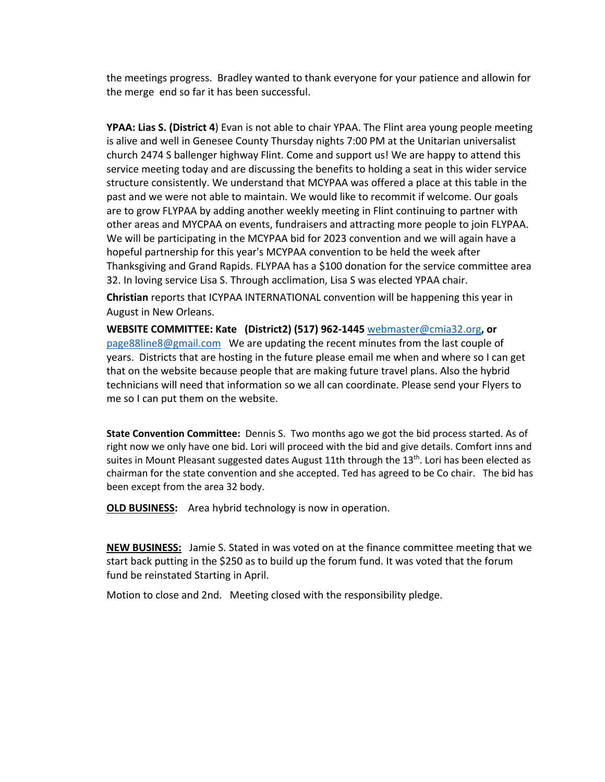the meetings progress. Bradley wanted to thank everyone for your patience and allowin for the merge end so far it has been successful.

**YPAA: Lias S. (District 4**) Evan is not able to chair YPAA. The Flint area young people meeting is alive and well in Genesee County Thursday nights 7:00 PM at the Unitarian universalist church 2474 S ballenger highway Flint. Come and support us! We are happy to attend this service meeting today and are discussing the benefits to holding a seat in this wider service structure consistently. We understand that MCYPAA was offered a place at this table in the past and we were not able to maintain. We would like to recommit if welcome. Our goals are to grow FLYPAA by adding another weekly meeting in Flint continuing to partner with other areas and MYCPAA on events, fundraisers and attracting more people to join FLYPAA. We will be participating in the MCYPAA bid for 2023 convention and we will again have a hopeful partnership for this year's MCYPAA convention to be held the week after Thanksgiving and Grand Rapids. FLYPAA has a \$100 donation for the service committee area 32. In loving service Lisa S. Through acclimation, Lisa S was elected YPAA chair.

**Christian** reports that ICYPAA INTERNATIONAL convention will be happening this year in August in New Orleans.

**WEBSITE COMMITTEE: Kate (District2) (517) 962-1445** webmaster@cmia32.org**, or**  page88line8@gmail.com We are updating the recent minutes from the last couple of years. Districts that are hosting in the future please email me when and where so I can get that on the website because people that are making future travel plans. Also the hybrid technicians will need that information so we all can coordinate. Please send your Flyers to me so I can put them on the website.

**State Convention Committee:** Dennis S. Two months ago we got the bid process started. As of right now we only have one bid. Lori will proceed with the bid and give details. Comfort inns and suites in Mount Pleasant suggested dates August 11th through the 13<sup>th</sup>. Lori has been elected as chairman for the state convention and she accepted. Ted has agreed to be Co chair. The bid has been except from the area 32 body.

**OLD BUSINESS:** Area hybrid technology is now in operation.

**NEW BUSINESS:** Jamie S. Stated in was voted on at the finance committee meeting that we start back putting in the \$250 as to build up the forum fund. It was voted that the forum fund be reinstated Starting in April.

Motion to close and 2nd. Meeting closed with the responsibility pledge.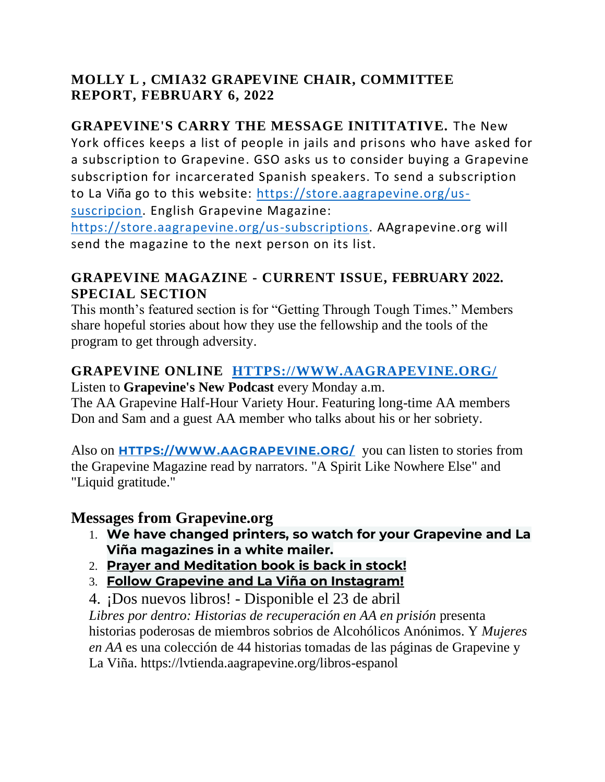## **MOLLY L , CMIA32 GRAPEVINE CHAIR, COMMITTEE REPORT, FEBRUARY 6, 2022**

## **GRAPEVINE'S CARRY THE MESSAGE INITITATIVE.** The New

York offices keeps a list of people in jails and prisons who have asked for a subscription to Grapevine. GSO asks us to consider buying a Grapevine subscription for incarcerated Spanish speakers. To send a subscription to La Viña go to this website: [https://store.aagrapevine.org/us](https://store.aagrapevine.org/us-suscripcion)[suscripcion.](https://store.aagrapevine.org/us-suscripcion) English Grapevine Magazine:

[https://store.aagrapevine.org/us-subscriptions.](https://store.aagrapevine.org/us-subscriptions) AAgrapevine.org will send the magazine to the next person on its list.

## **GRAPEVINE MAGAZINE - CURRENT ISSUE, FEBRUARY 2022. SPECIAL SECTION**

This month's featured section is for "Getting Through Tough Times." Members share hopeful stories about how they use the fellowship and the tools of the program to get through adversity.

## **GRAPEVINE ONLINE [HTTPS://WWW.AAGRAPEVINE.ORG/](https://www.aagrapevine.org/)**

Listen to **Grapevine's New Podcast** every Monday a.m. The AA Grapevine Half-Hour Variety Hour. Featuring long-time AA members Don and Sam and a guest AA member who talks about his or her sobriety.

Also on **[HTTPS://WWW.AAGRAPEVINE.ORG/](https://www.aagrapevine.org/)** you can listen to stories from the Grapevine Magazine read by narrators. "A Spirit Like Nowhere Else" and "Liquid gratitude."

## **Messages from Grapevine.org**

- 1. **We have changed printers, so watch for your Grapevine and La Viña magazines in a white mailer.**
- 2. **[Prayer and Meditation book is](https://www.aagrapevine.org/prayer-and-meditation-book) back in stock!**
- 3. **[Follow Grapevine and La Viña on Instagram!](https://www.aagrapevine.org/follow-grapevine)**

4. ¡Dos nuevos libros! - Disponible el 23 de abril *[Libres por dentro: Historias de recuperación en AA en prisión](https://lvtienda.aagrapevine.org/libros-espanol)* presenta historias poderosas de miembros sobrios de Alcohólicos Anónimos. Y *[Mujeres](https://lvtienda.aagrapevine.org/libros-espanol) [en AA](https://lvtienda.aagrapevine.org/libros-espanol)* es una colección de 44 historias tomadas de las páginas de Grapevine y La Viña. https://lvtienda.aagrapevine.org/libros-espanol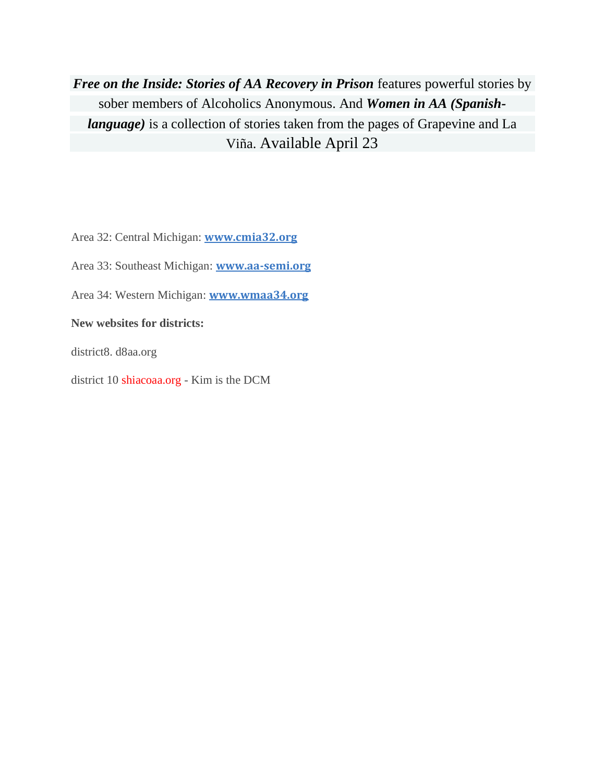*[Free on the Inside: Stories of AA Recovery in Prison](https://store.aagrapevine.org/books)* features powerful stories by sober members of Alcoholics Anonymous. And *[Women in AA \(Spanish](https://store.aagrapevine.org/books)language*) is a collection of stories taken from the pages of Grapevine and La Viña. Available April 23

Area 32: Central Michigan: **[www.cmia32.org](https://www.cmia32.org/)**

Area 33: Southeast Michigan: **[www.aa-semi.org](https://www.aa-semi.org/)**

Area 34: Western Michigan: **[www.wmaa34.org](https://www.wmaa34.org/)**

**New websites for districts:**

district8. d8aa.org

district 10 shiacoaa.org - Kim is the DCM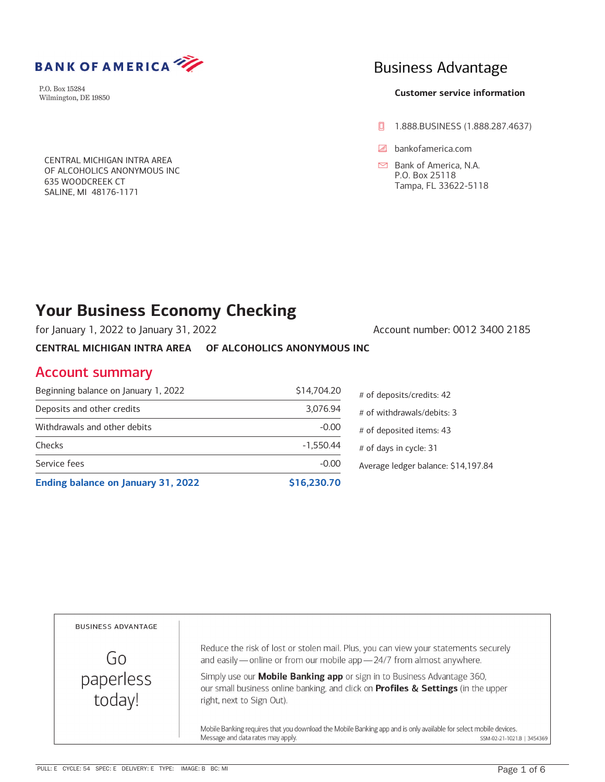

**BANK OF AMERICA** 

CENTRAL MICHIGAN INTRA AREA OF ALCOHOLICS ANONYMOUS INC 635 WOODCREEK CT SALINE, MI 48176-1171

# **Business Advantage**

### **Customer service information**

- **0** 1.888.BUSINESS (1.888.287.4637)
- bankofamerica.com

 $\Box$  Bank of America, N.A. P.O. Box 25118 Tampa, FL 33622-5118

# **Your Business Economy Checking**

for January 1, 2022 to January 31, 2022 Account number: 0012 3400 2185

**CENTRAL MICHIGAN INTRA AREA OF ALCOHOLICS ANONYMOUS INC** 

## Account summary

| Ending balance on January 31, 2022   | \$16,230.70 |           |
|--------------------------------------|-------------|-----------|
| Service fees                         | $-0.00$     | Averag    |
| Checks                               | $-1,550.44$ | # of $d$  |
| Withdrawals and other debits         | $-0.00$     | # of $de$ |
| Deposits and other credits           | 3,076.94    | $#$ of w  |
| Beginning balance on January 1, 2022 | \$14,704.20 | $#$ of de |

| # of deposits/credits: 42           |
|-------------------------------------|
| # of withdrawals/debits: 3          |
| # of deposited items: 43            |
| # of days in cycle: 31              |
| Average ledger balance: \$14,197.84 |

**BUSINESS ADVANTAGE** Reduce the risk of lost or stolen mail. Plus, you can view your statements securely Go and easily — online or from our mobile app — 24/7 from almost anywhere. paperless Simply use our Mobile Banking app or sign in to Business Advantage 360, our small business online banking, and click on Profiles & Settings (in the upper today! right, next to Sign Out). Mobile Banking requires that you download the Mobile Banking app and is only available for select mobile devices.

Message and data rates may apply.

SSM-02-21-1021.B | 3454369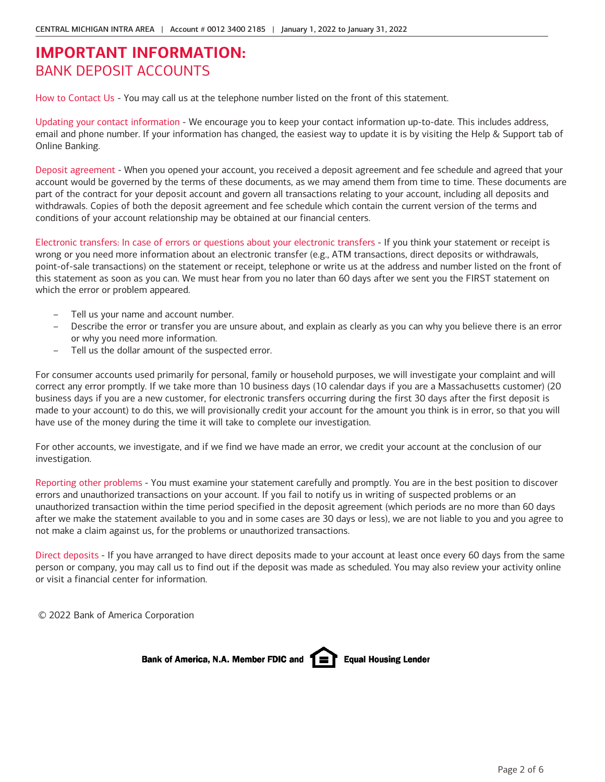# **IMPORTANT INFORMATION:** BANK DEPOSIT ACCOUNTS

How to Contact Us - You may call us at the telephone number listed on the front of this statement.

Updating your contact information - We encourage you to keep your contact information up-to-date. This includes address, email and phone number. If your information has changed, the easiest way to update it is by visiting the Help & Support tab of Online Banking.

Deposit agreement - When you opened your account, you received a deposit agreement and fee schedule and agreed that your account would be governed by the terms of these documents, as we may amend them from time to time. These documents are part of the contract for your deposit account and govern all transactions relating to your account, including all deposits and withdrawals. Copies of both the deposit agreement and fee schedule which contain the current version of the terms and conditions of your account relationship may be obtained at our financial centers.

Electronic transfers: In case of errors or questions about your electronic transfers - If you think your statement or receipt is wrong or you need more information about an electronic transfer (e.g., ATM transactions, direct deposits or withdrawals, point-of-sale transactions) on the statement or receipt, telephone or write us at the address and number listed on the front of this statement as soon as you can. We must hear from you no later than 60 days after we sent you the FIRST statement on which the error or problem appeared.

- Tell us your name and account number.
- Describe the error or transfer you are unsure about, and explain as clearly as you can why you believe there is an error or why you need more information.
- Tell us the dollar amount of the suspected error.

For consumer accounts used primarily for personal, family or household purposes, we will investigate your complaint and will correct any error promptly. If we take more than 10 business days (10 calendar days if you are a Massachusetts customer) (20 business days if you are a new customer, for electronic transfers occurring during the first 30 days after the first deposit is made to your account) to do this, we will provisionally credit your account for the amount you think is in error, so that you will have use of the money during the time it will take to complete our investigation.

For other accounts, we investigate, and if we find we have made an error, we credit your account at the conclusion of our investigation.

Reporting other problems - You must examine your statement carefully and promptly. You are in the best position to discover errors and unauthorized transactions on your account. If you fail to notify us in writing of suspected problems or an unauthorized transaction within the time period specified in the deposit agreement (which periods are no more than 60 days after we make the statement available to you and in some cases are 30 days or less), we are not liable to you and you agree to not make a claim against us, for the problems or unauthorized transactions.

Direct deposits - If you have arranged to have direct deposits made to your account at least once every 60 days from the same person or company, you may call us to find out if the deposit was made as scheduled. You may also review your activity online or visit a financial center for information.

© 2022 Bank of America Corporation

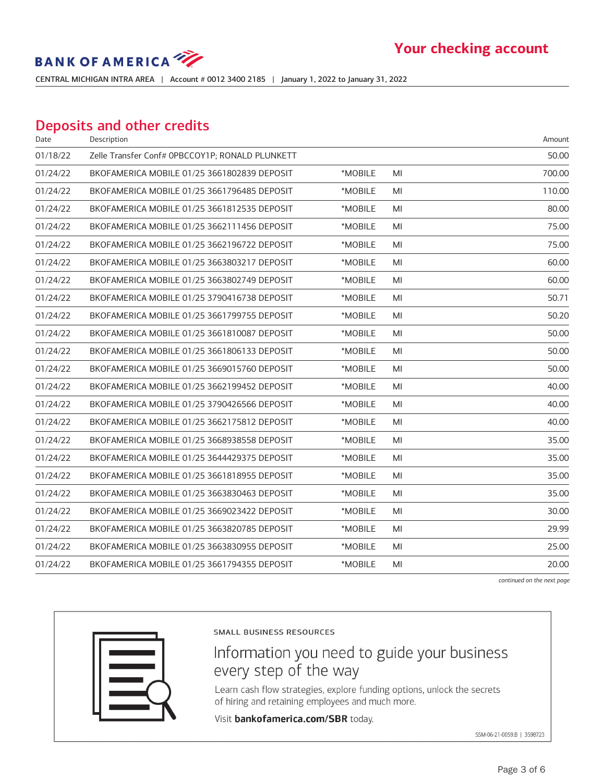# **BANK OF AMERICA**

CENTRAL MICHIGAN INTRA AREA ! Account # 0012 3400 2185 ! January 1, 2022 to January 31, 2022

## Deposits and other credits

| Date     | Description                                     |         |    | Amount |
|----------|-------------------------------------------------|---------|----|--------|
| 01/18/22 | Zelle Transfer Conf# 0PBCCOY1P; RONALD PLUNKETT |         |    | 50.00  |
| 01/24/22 | BKOFAMERICA MOBILE 01/25 3661802839 DEPOSIT     | *MOBILE | MI | 700.00 |
| 01/24/22 | BKOFAMERICA MOBILE 01/25 3661796485 DEPOSIT     | *MOBILE | MI | 110.00 |
| 01/24/22 | BKOFAMERICA MOBILE 01/25 3661812535 DEPOSIT     | *MOBILE | MI | 80.00  |
| 01/24/22 | BKOFAMERICA MOBILE 01/25 3662111456 DEPOSIT     | *MOBILE | MI | 75.00  |
| 01/24/22 | BKOFAMERICA MOBILE 01/25 3662196722 DEPOSIT     | *MOBILE | MI | 75.00  |
| 01/24/22 | BKOFAMERICA MOBILE 01/25 3663803217 DEPOSIT     | *MOBILE | MI | 60.00  |
| 01/24/22 | BKOFAMERICA MOBILE 01/25 3663802749 DEPOSIT     | *MOBILE | MI | 60.00  |
| 01/24/22 | BKOFAMERICA MOBILE 01/25 3790416738 DEPOSIT     | *MOBILE | MI | 50.71  |
| 01/24/22 | BKOFAMERICA MOBILE 01/25 3661799755 DEPOSIT     | *MOBILE | MI | 50.20  |
| 01/24/22 | BKOFAMERICA MOBILE 01/25 3661810087 DEPOSIT     | *MOBILE | MI | 50.00  |
| 01/24/22 | BKOFAMERICA MOBILE 01/25 3661806133 DEPOSIT     | *MOBILE | MI | 50.00  |
| 01/24/22 | BKOFAMERICA MOBILE 01/25 3669015760 DEPOSIT     | *MOBILE | MI | 50.00  |
| 01/24/22 | BKOFAMERICA MOBILE 01/25 3662199452 DEPOSIT     | *MOBILE | MI | 40.00  |
| 01/24/22 | BKOFAMERICA MOBILE 01/25 3790426566 DEPOSIT     | *MOBILE | MI | 40.00  |
| 01/24/22 | BKOFAMERICA MOBILE 01/25 3662175812 DEPOSIT     | *MOBILE | MI | 40.00  |
| 01/24/22 | BKOFAMERICA MOBILE 01/25 3668938558 DEPOSIT     | *MOBILE | MI | 35.00  |
| 01/24/22 | BKOFAMERICA MOBILE 01/25 3644429375 DEPOSIT     | *MOBILE | MI | 35.00  |
| 01/24/22 | BKOFAMERICA MOBILE 01/25 3661818955 DEPOSIT     | *MOBILE | MI | 35.00  |
| 01/24/22 | BKOFAMERICA MOBILE 01/25 3663830463 DEPOSIT     | *MOBILE | MI | 35.00  |
| 01/24/22 | BKOFAMERICA MOBILE 01/25 3669023422 DEPOSIT     | *MOBILE | MI | 30.00  |
| 01/24/22 | BKOFAMERICA MOBILE 01/25 3663820785 DEPOSIT     | *MOBILE | MI | 29.99  |
| 01/24/22 | BKOFAMERICA MOBILE 01/25 3663830955 DEPOSIT     | *MOBILE | MI | 25.00  |
| 01/24/22 | BKOFAMERICA MOBILE 01/25 3661794355 DEPOSIT     | *MOBILE | MI | 20.00  |
|          |                                                 |         |    |        |

continued on the next page



SMALL BUSINESS RESOURCES

# Information you need to guide your business every step of the way

Learn cash flow strategies, explore funding options, unlock the secrets of hiring and retaining employees and much more.

Visit bankofamerica.com/SBR today.

SSM-06-21-0059.B | 3598723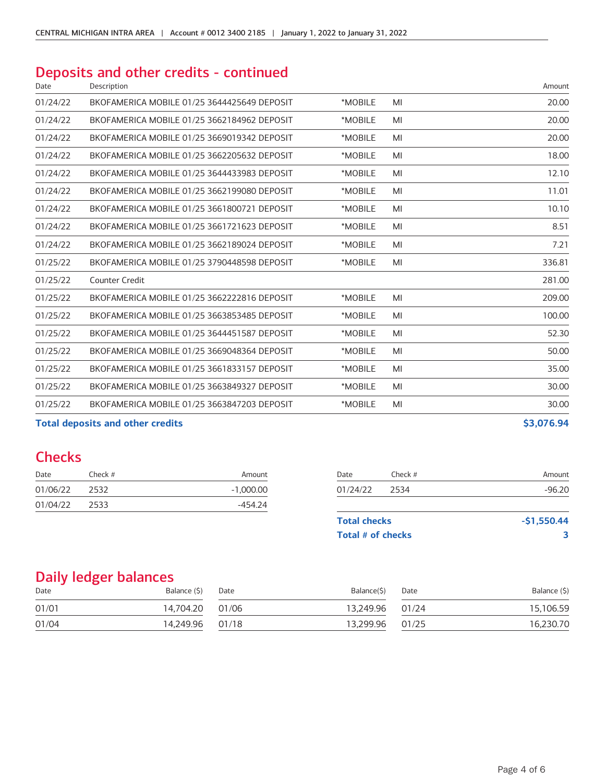# Deposits and other credits - continued

| Date     | Description                                 |         |    | Amount |
|----------|---------------------------------------------|---------|----|--------|
| 01/24/22 | BKOFAMERICA MOBILE 01/25 3644425649 DEPOSIT | *MOBILE | MI | 20.00  |
| 01/24/22 | BKOFAMERICA MOBILE 01/25 3662184962 DEPOSIT | *MOBILE | MI | 20.00  |
| 01/24/22 | BKOFAMERICA MOBILE 01/25 3669019342 DEPOSIT | *MOBILE | MI | 20.00  |
| 01/24/22 | BKOFAMERICA MOBILE 01/25 3662205632 DEPOSIT | *MOBILE | MI | 18.00  |
| 01/24/22 | BKOFAMERICA MOBILE 01/25 3644433983 DEPOSIT | *MOBILE | MI | 12.10  |
| 01/24/22 | BKOFAMERICA MOBILE 01/25 3662199080 DEPOSIT | *MOBILE | MI | 11.01  |
| 01/24/22 | BKOFAMERICA MOBILE 01/25 3661800721 DEPOSIT | *MOBILE | MI | 10.10  |
| 01/24/22 | BKOFAMERICA MOBILE 01/25 3661721623 DEPOSIT | *MOBILE | MI | 8.51   |
| 01/24/22 | BKOFAMERICA MOBILE 01/25 3662189024 DEPOSIT | *MOBILE | MI | 7.21   |
| 01/25/22 | BKOFAMERICA MOBILE 01/25 3790448598 DEPOSIT | *MOBILE | MI | 336.81 |
| 01/25/22 | <b>Counter Credit</b>                       |         |    | 281.00 |
| 01/25/22 | BKOFAMERICA MOBILE 01/25 3662222816 DEPOSIT | *MOBILE | MI | 209.00 |
| 01/25/22 | BKOFAMERICA MOBILE 01/25 3663853485 DEPOSIT | *MOBILE | MI | 100.00 |
| 01/25/22 | BKOFAMERICA MOBILE 01/25 3644451587 DEPOSIT | *MOBILE | MI | 52.30  |
| 01/25/22 | BKOFAMERICA MOBILE 01/25 3669048364 DEPOSIT | *MOBILE | MI | 50.00  |
| 01/25/22 | BKOFAMERICA MOBILE 01/25 3661833157 DEPOSIT | *MOBILE | MI | 35.00  |
| 01/25/22 | BKOFAMERICA MOBILE 01/25 3663849327 DEPOSIT | *MOBILE | MI | 30.00  |
| 01/25/22 | BKOFAMERICA MOBILE 01/25 3663847203 DEPOSIT | *MOBILE | MI | 30.00  |
|          |                                             |         |    |        |

Total deposits and other credits **by a strategies of the strategies of the strategies of the strategies of the strategies of the strategies of the strategies of the strategies of the strategies of the strategies of the str** 

### **Checks**

| Date     | Check # | Amount      | Date                | Check $#$ | Amount       |
|----------|---------|-------------|---------------------|-----------|--------------|
| 01/06/22 | 2532    | $-1.000.00$ | 01/24/22            | 2534      | $-96.20$     |
| 01/04/22 | 2533    | -454.24     |                     |           |              |
|          |         |             | <b>Total checks</b> |           | $-51,550.44$ |

# **Total # of checks 3**

## Daily ledger balances

| Date  | Balance (\$) | Date  | Balance(\$) | Date  | Balance (\$) |
|-------|--------------|-------|-------------|-------|--------------|
| 01/01 | 14.704.20    | 01/06 | 13.249.96   | 01/24 | 15,106.59    |
| 01/04 | 14.249.96    | 01/18 | 13,299.96   | 01/25 | 16.230.70    |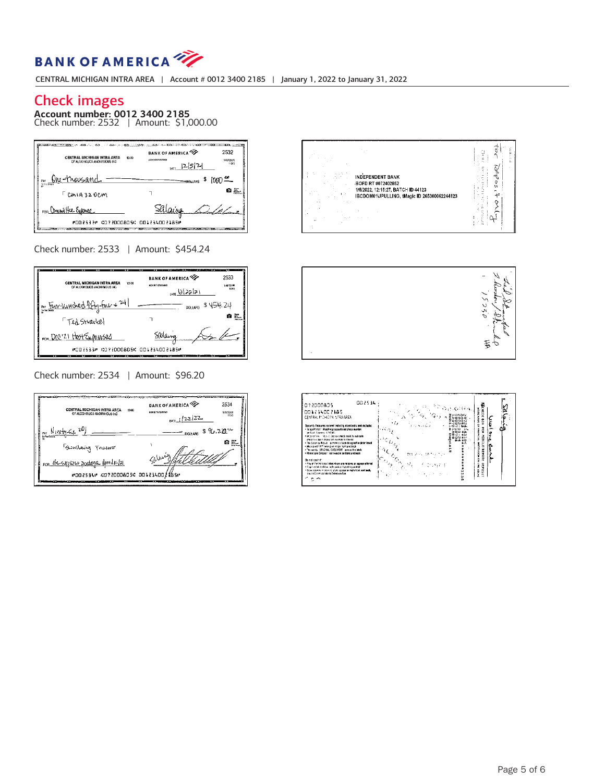

CENTRAL MICHIGAN INTRA AREA ! Account # 0012 3400 2185 ! January 1, 2022 to January 31, 2022

### Check images

**Account number: 0012 3400 2185**<br>Check number: 2532 | Amount: \$1,000.00

| <b>CENTRAL MICHIGAN INTRA AREA</b><br>12-00<br>DF ALCOHOLICS ANONYMOUS INC. | <b>BANK OF AMERICA</b><br>ACH 5.T 07202305<br>$_{\text{corr}}$ 12521 | 2532<br>6 EST23 M<br>1120 |
|-----------------------------------------------------------------------------|----------------------------------------------------------------------|---------------------------|
| PAY One-thousand.                                                           |                                                                      | BOLLARS                   |
| CMIA320CM                                                                   |                                                                      | æ.                        |
| FOR Committee Expense                                                       |                                                                      |                           |
| #882532 487288885 88123488185                                               |                                                                      |                           |

Check number: 2533 ! Amount: \$454.24

| CENTRAL MICHIGAN INTRA AREA<br>12-00<br>DE ALCOHOLICS ANONYMOUS INC. | <b>BANK OF AMERICA</b><br>ACH RECOVERABLE<br>$_{\text{max}}$ 122121 | 2533<br><b>SR/THM</b><br>11243 |
|----------------------------------------------------------------------|---------------------------------------------------------------------|--------------------------------|
| Pay Four-Vunched fifty-four + 24/                                    | DOLLARS \$ 454, 24                                                  |                                |
| <i>Ted Stravbel</i>                                                  |                                                                     |                                |
| FOR DOC'21 HOST EXPOSIBLE                                            | Silano                                                              |                                |
| #201533# MO71DOO805M 001114002185#<br>-                              |                                                                     | œ                              |

Check number: 2534 ! Amount: \$96.20

| CENTRAL MICHIGAN INTRA AREA<br>12.00<br>OF ALCOHOLICS ANOIDYINGUS INC.  | <b>BANK OF AMERICA</b><br>2534<br>ACHIETER300905<br>9 80 720 AT<br>1043<br>$0.022$ $(22)$ |  |  |  |  |
|-------------------------------------------------------------------------|-------------------------------------------------------------------------------------------|--|--|--|--|
| Y PAY NIVE <del>TY Six</del> 20                                         | DOLLARS $$96.22$                                                                          |  |  |  |  |
| Gunlaing Trusswer                                                       | Е.<br>ы<br>$\Lambda^{\rm (out)}$                                                          |  |  |  |  |
| FOR efcsupliest postage Amelia/21<br>#002534" GD?20DOAO5C 00123400218S" |                                                                                           |  |  |  |  |
|                                                                         |                                                                                           |  |  |  |  |

| INDEPENDENT BANK<br>BOFD RT #072402652<br>1/6/2022, 12:15:27, BATCH ID 44123<br>IBCDOM01\JPULLING, tMagic ID 265300062244123<br>$\sim$<br>$\sim$<br>$\mathbf{a}$<br>a. | ś<br>t.<br>o<br>v |
|------------------------------------------------------------------------------------------------------------------------------------------------------------------------|-------------------|
|------------------------------------------------------------------------------------------------------------------------------------------------------------------------|-------------------|



| 002534<br>072000835<br>001234002185<br>CENTRAL MICHIGAN NERAAREA<br>Security Features arceed industry standards and include:<br>. In spelfelch ** Matchine account and check number<br>entary Peerle, 410 Bitt<br>· Michael Sex - Madule Georgia check stank in indicate                                                                                                                                                                                                                                                               | のきのほれ<br>だいついかい<br>a hanna a<br>limm NA J<br>P-JON-RN<br>また かいちみ<br>⊢ال⊸ا<br>سرائيات وا<br>AMMO<br>Address of<br>$1800 + 150$<br><b>Hm</b> JI<br>$+10$<br>മറെ | Ř<br>ö<br>$\overline{\phantom{a}}$<br>š<br>ęos<br>ë<br>ğ<br>품 |  |
|----------------------------------------------------------------------------------------------------------------------------------------------------------------------------------------------------------------------------------------------------------------------------------------------------------------------------------------------------------------------------------------------------------------------------------------------------------------------------------------------------------------------------------------|---------------------------------------------------------------------------------------------------------------------------------------------------------------|---------------------------------------------------------------|--|
| check his apen depapied ina mobile dovice<br>. The Security Weaver pattern on back designed to define must<br>+ Microprint FMP lines crimed on front and hash<br>. The words - BRIGINAL DOCUMENT - screes the back<br>. Photo Sale Depasti - loon waalle on finant and back<br>Do not cash it"<br>. Any of the features listes above are missing or appear ellered<br>. Foul velokes blow nets and or hat distancined<br>. Biown stares or connect spatt appear on both let all and back,<br>and in Conversal Wash Detection Box<br>ಂ೧ | ν.,<br>COLLANS OF<br>$\circ_{c_{\kappa}}$<br>$\omega_{\sigma_2}$<br>t.                                                                                        | õ<br>쫉<br>Ξ<br>몵<br>ž<br>÷<br>ó<br><b>Alliche</b><br>÷.       |  |